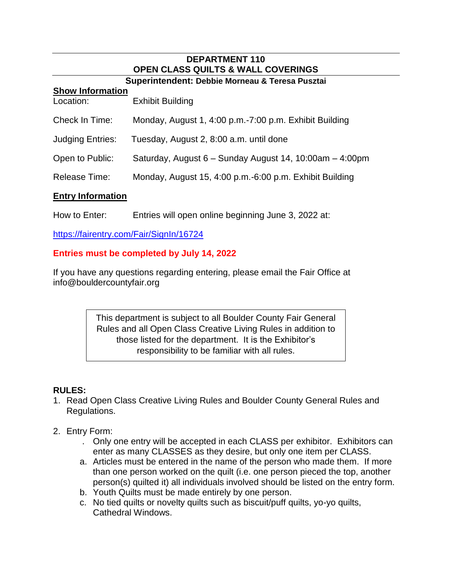## **DEPARTMENT 110 OPEN CLASS QUILTS & WALL COVERINGS**

#### **Superintendent: Debbie Morneau & Teresa Pusztai**

#### **Show Information**

| Location:                | <b>Exhibit Building</b>                                 |
|--------------------------|---------------------------------------------------------|
| Check In Time:           | Monday, August 1, 4:00 p.m.-7:00 p.m. Exhibit Building  |
| <b>Judging Entries:</b>  | Tuesday, August 2, 8:00 a.m. until done                 |
| Open to Public:          | Saturday, August 6 - Sunday August 14, 10:00am - 4:00pm |
| <b>Release Time:</b>     | Monday, August 15, 4:00 p.m.-6:00 p.m. Exhibit Building |
| <b>Entry Information</b> |                                                         |

How to Enter: Entries will open online beginning June 3, 2022 at:

https://fairentry.com/Fair/SignIn/16724

#### **Entries must be completed by July 14, 2022**

If you have any questions regarding entering, please email the Fair Office at info@bouldercountyfair.org

> This department is subject to all Boulder County Fair General Rules and all Open Class Creative Living Rules in addition to those listed for the department. It is the Exhibitor's responsibility to be familiar with all rules.

#### **RULES:**

- 1. Read Open Class Creative Living Rules and Boulder County General Rules and Regulations.
- 2. Entry Form:
	- . Only one entry will be accepted in each CLASS per exhibitor. Exhibitors can enter as many CLASSES as they desire, but only one item per CLASS.
	- a. Articles must be entered in the name of the person who made them. If more than one person worked on the quilt (i.e. one person pieced the top, another person(s) quilted it) all individuals involved should be listed on the entry form.
	- b. Youth Quilts must be made entirely by one person.
	- c. No tied quilts or novelty quilts such as biscuit/puff quilts, yo-yo quilts, Cathedral Windows.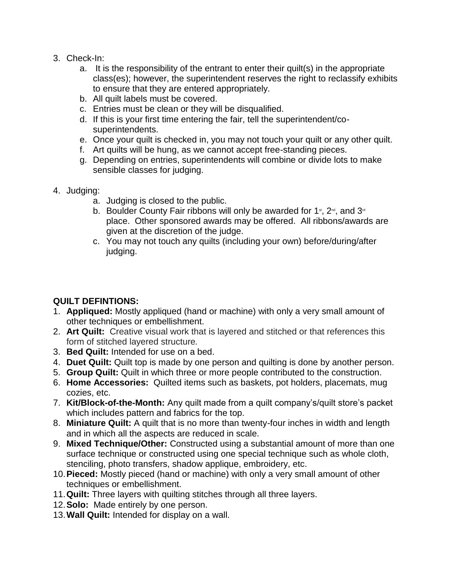- 3. Check-In:
	- a. It is the responsibility of the entrant to enter their quilt(s) in the appropriate class(es); however, the superintendent reserves the right to reclassify exhibits to ensure that they are entered appropriately.
	- b. All quilt labels must be covered.
	- c. Entries must be clean or they will be disqualified.
	- d. If this is your first time entering the fair, tell the superintendent/cosuperintendents.
	- e. Once your quilt is checked in, you may not touch your quilt or any other quilt.
	- f. Art quilts will be hung, as we cannot accept free-standing pieces.
	- g. Depending on entries, superintendents will combine or divide lots to make sensible classes for judging.
- 4. Judging:
	- a. Judging is closed to the public.
	- b. Boulder County Fair ribbons will only be awarded for 1<sup>st</sup>, 2<sup>nd</sup>, and 3<sup>rd</sup> place. Other sponsored awards may be offered. All ribbons/awards are given at the discretion of the judge.
	- c. You may not touch any quilts (including your own) before/during/after judging.

### **QUILT DEFINTIONS:**

- 1. **Appliqued:** Mostly appliqued (hand or machine) with only a very small amount of other techniques or embellishment.
- 2. **Art Quilt:** Creative visual work that is layered and stitched or that references this form of stitched layered structure*.*
- 3. **Bed Quilt:** Intended for use on a bed.
- 4. **Duet Quilt:** Quilt top is made by one person and quilting is done by another person.
- 5. **Group Quilt:** Quilt in which three or more people contributed to the construction.
- 6. **Home Accessories:** Quilted items such as baskets, pot holders, placemats, mug cozies, etc.
- 7. **Kit/Block-of-the-Month:** Any quilt made from a quilt company's/quilt store's packet which includes pattern and fabrics for the top.
- 8. **Miniature Quilt:** A quilt that is no more than twenty-four inches in width and length and in which all the aspects are reduced in scale.
- 9. **Mixed Technique/Other:** Constructed using a substantial amount of more than one surface technique or constructed using one special technique such as whole cloth, stenciling, photo transfers, shadow applique, embroidery, etc.
- 10.**Pieced:** Mostly pieced (hand or machine) with only a very small amount of other techniques or embellishment.
- 11.**Quilt:** Three layers with quilting stitches through all three layers.
- 12.**Solo:** Made entirely by one person.
- 13.**Wall Quilt:** Intended for display on a wall.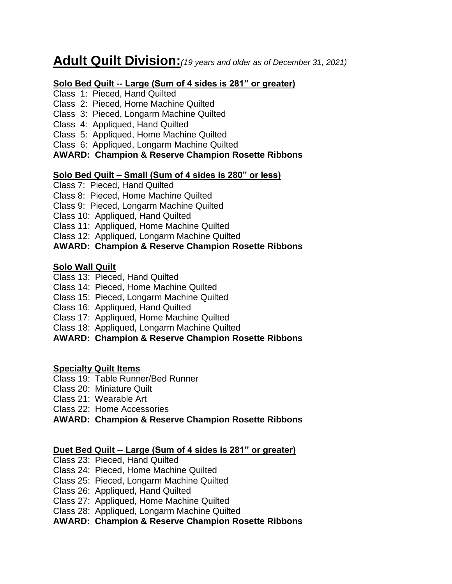# **Adult Quilt Division:***(19 years and older as of December 31, 2021)*

#### **Solo Bed Quilt -- Large (Sum of 4 sides is 281" or greater)**

Class 1: Pieced, Hand Quilted

Class 2: Pieced, Home Machine Quilted

#### Class 3: Pieced, Longarm Machine Quilted

Class 4: Appliqued, Hand Quilted

Class 5: Appliqued, Home Machine Quilted

Class 6: Appliqued, Longarm Machine Quilted

#### **AWARD: Champion & Reserve Champion Rosette Ribbons**

#### **Solo Bed Quilt – Small (Sum of 4 sides is 280" or less)**

- Class 7: Pieced, Hand Quilted
- Class 8: Pieced, Home Machine Quilted
- Class 9: Pieced, Longarm Machine Quilted
- Class 10: Appliqued, Hand Quilted
- Class 11: Appliqued, Home Machine Quilted
- Class 12: Appliqued, Longarm Machine Quilted

### **AWARD: Champion & Reserve Champion Rosette Ribbons**

### **Solo Wall Quilt**

- Class 13: Pieced, Hand Quilted
- Class 14: Pieced, Home Machine Quilted
- Class 15: Pieced, Longarm Machine Quilted
- Class 16: Appliqued, Hand Quilted
- Class 17: Appliqued, Home Machine Quilted
- Class 18: Appliqued, Longarm Machine Quilted

### **AWARD: Champion & Reserve Champion Rosette Ribbons**

#### **Specialty Quilt Items**

- Class 19: Table Runner/Bed Runner
- Class 20: Miniature Quilt
- Class 21: Wearable Art

Class 22: Home Accessories

**AWARD: Champion & Reserve Champion Rosette Ribbons**

### **Duet Bed Quilt -- Large (Sum of 4 sides is 281" or greater)**

- Class 23: Pieced, Hand Quilted
- Class 24: Pieced, Home Machine Quilted
- Class 25: Pieced, Longarm Machine Quilted
- Class 26: Appliqued, Hand Quilted
- Class 27: Appliqued, Home Machine Quilted
- Class 28: Appliqued, Longarm Machine Quilted

### **AWARD: Champion & Reserve Champion Rosette Ribbons**